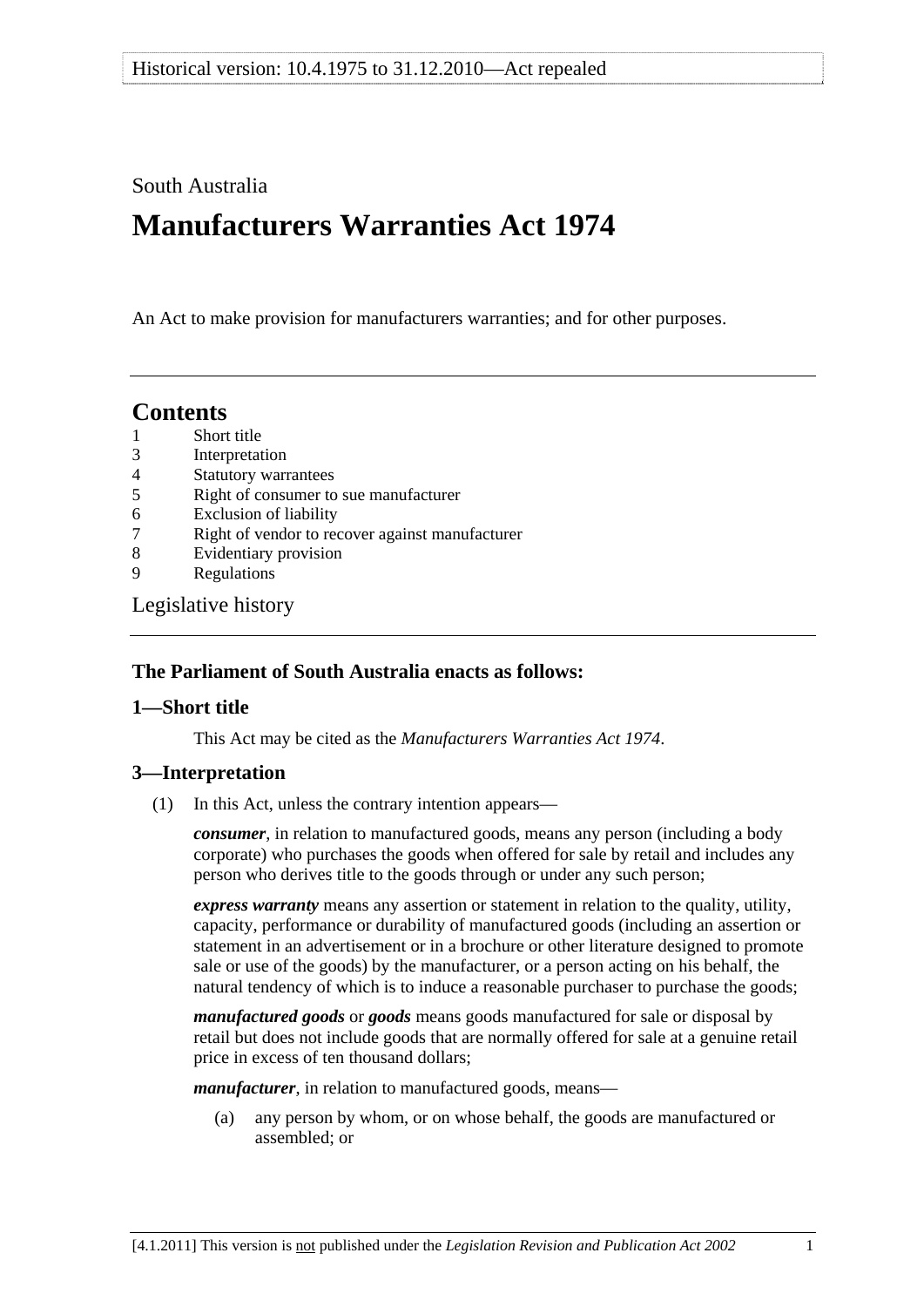## <span id="page-0-0"></span>South Australia

# **Manufacturers Warranties Act 1974**

An Act to make provision for manufacturers warranties; and for other purposes.

## **Contents**

- [1 Short title](#page-0-0)
- [3 Interpretation](#page-0-0)
- [4 Statutory warrantees](#page-1-0)
- [5 Right of consumer to sue manufacturer](#page-2-0)
- [6 Exclusion of liability](#page-2-0)
- [7 Right of vendor to recover against manufacturer](#page-2-0)
- [8 Evidentiary provision](#page-3-0)
- [9 Regulations](#page-3-0)

[Legislative history](#page-4-0) 

#### **The Parliament of South Australia enacts as follows:**

#### **1—Short title**

This Act may be cited as the *Manufacturers Warranties Act 1974*.

#### **3—Interpretation**

(1) In this Act, unless the contrary intention appears—

*consumer*, in relation to manufactured goods, means any person (including a body corporate) who purchases the goods when offered for sale by retail and includes any person who derives title to the goods through or under any such person;

*express warranty* means any assertion or statement in relation to the quality, utility, capacity, performance or durability of manufactured goods (including an assertion or statement in an advertisement or in a brochure or other literature designed to promote sale or use of the goods) by the manufacturer, or a person acting on his behalf, the natural tendency of which is to induce a reasonable purchaser to purchase the goods;

*manufactured goods* or *goods* means goods manufactured for sale or disposal by retail but does not include goods that are normally offered for sale at a genuine retail price in excess of ten thousand dollars;

*manufacturer*, in relation to manufactured goods, means—

 (a) any person by whom, or on whose behalf, the goods are manufactured or assembled; or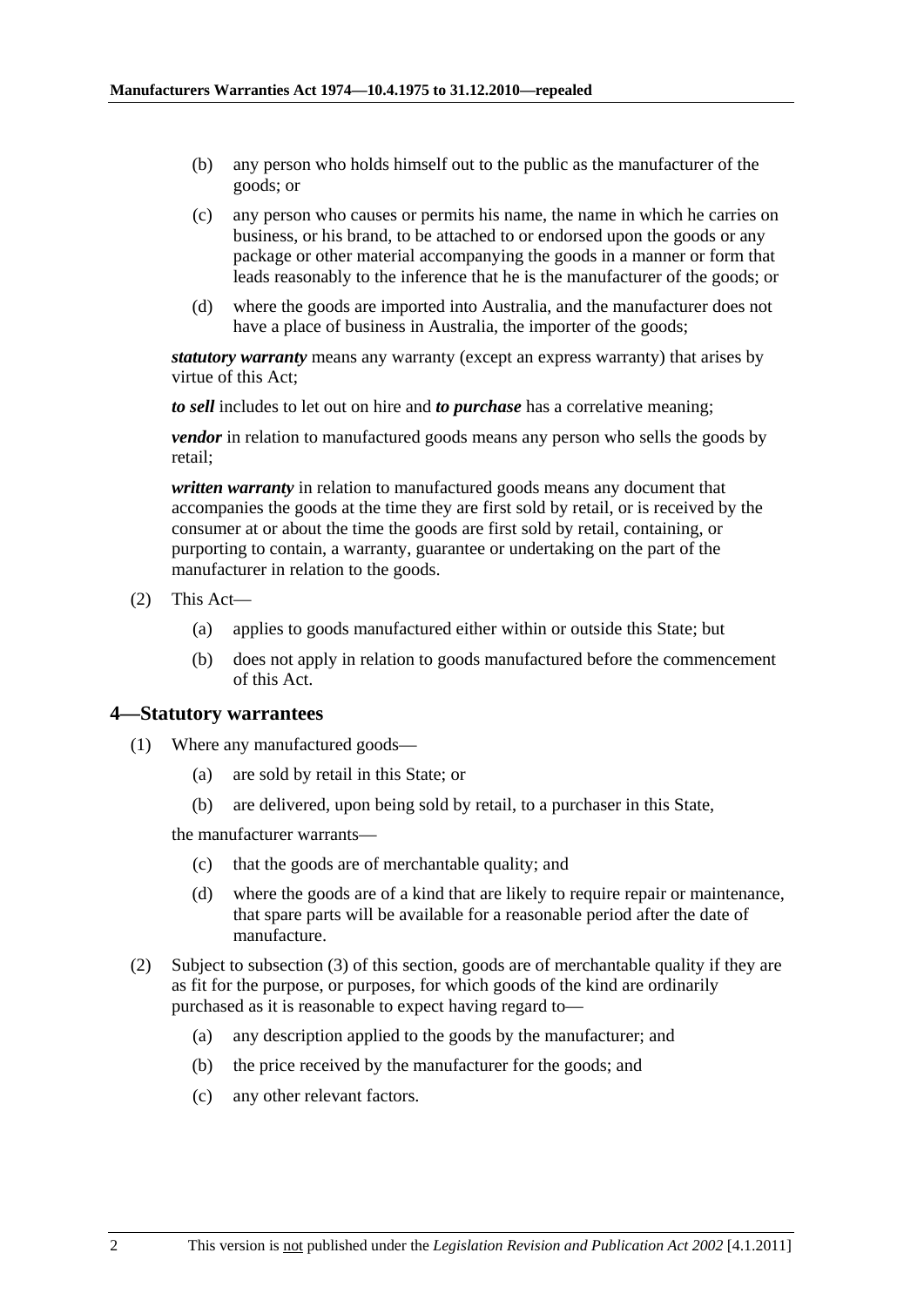- <span id="page-1-0"></span> (b) any person who holds himself out to the public as the manufacturer of the goods; or
- (c) any person who causes or permits his name, the name in which he carries on business, or his brand, to be attached to or endorsed upon the goods or any package or other material accompanying the goods in a manner or form that leads reasonably to the inference that he is the manufacturer of the goods; or
- (d) where the goods are imported into Australia, and the manufacturer does not have a place of business in Australia, the importer of the goods;

*statutory warranty* means any warranty (except an express warranty) that arises by virtue of this Act;

*to sell* includes to let out on hire and *to purchase* has a correlative meaning;

*vendor* in relation to manufactured goods means any person who sells the goods by retail;

*written warranty* in relation to manufactured goods means any document that accompanies the goods at the time they are first sold by retail, or is received by the consumer at or about the time the goods are first sold by retail, containing, or purporting to contain, a warranty, guarantee or undertaking on the part of the manufacturer in relation to the goods.

- (2) This Act—
	- (a) applies to goods manufactured either within or outside this State; but
	- (b) does not apply in relation to goods manufactured before the commencement of this Act.

#### **4—Statutory warrantees**

- (1) Where any manufactured goods—
	- (a) are sold by retail in this State; or
	- (b) are delivered, upon being sold by retail, to a purchaser in this State,

the manufacturer warrants—

- (c) that the goods are of merchantable quality; and
- (d) where the goods are of a kind that are likely to require repair or maintenance, that spare parts will be available for a reasonable period after the date of manufacture.
- (2) Subject to [subsection \(3\)](#page-2-0) of this section, goods are of merchantable quality if they are as fit for the purpose, or purposes, for which goods of the kind are ordinarily purchased as it is reasonable to expect having regard to—
	- (a) any description applied to the goods by the manufacturer; and
	- (b) the price received by the manufacturer for the goods; and
	- (c) any other relevant factors.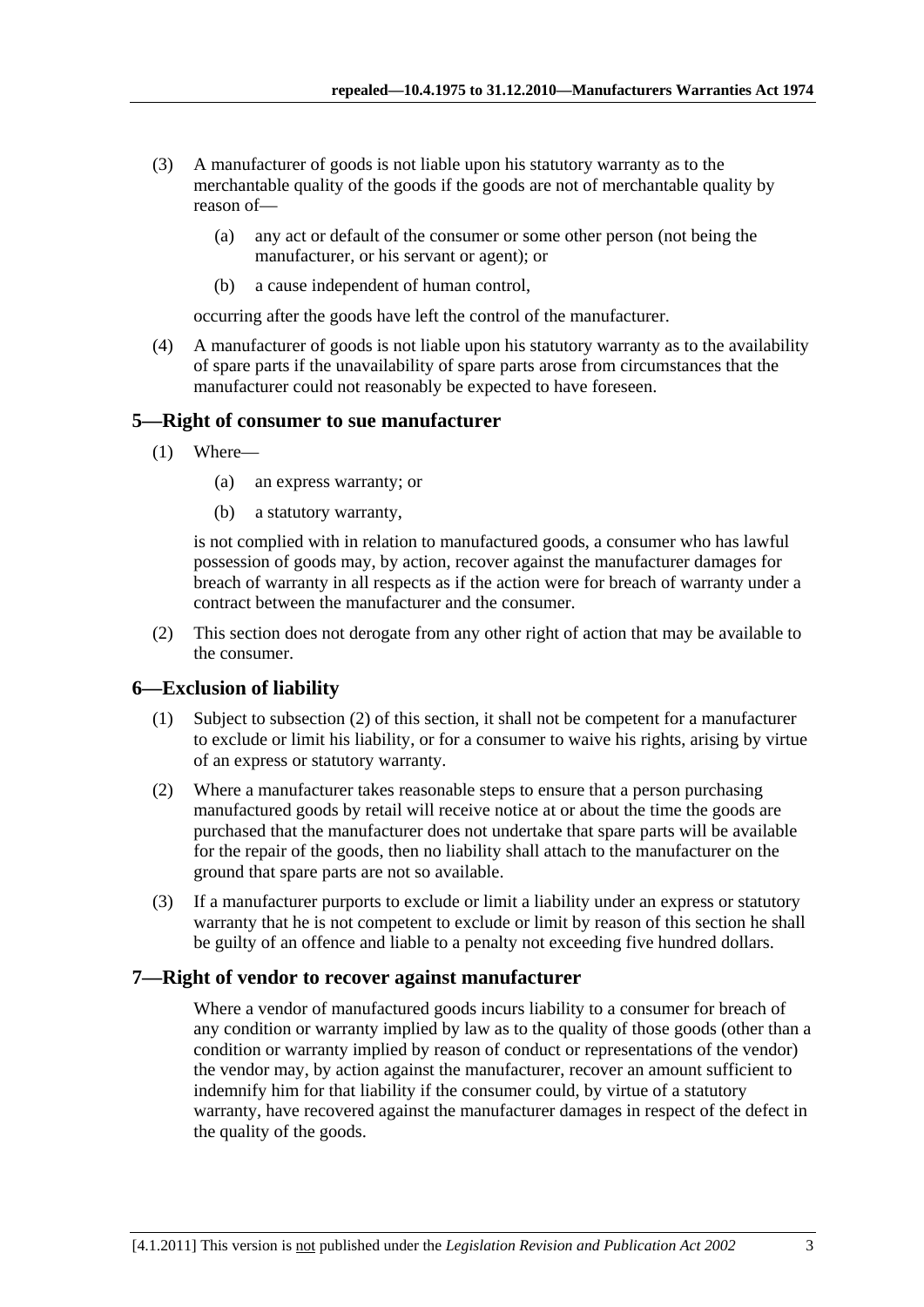- <span id="page-2-0"></span> (3) A manufacturer of goods is not liable upon his statutory warranty as to the merchantable quality of the goods if the goods are not of merchantable quality by reason of—
	- (a) any act or default of the consumer or some other person (not being the manufacturer, or his servant or agent); or
	- (b) a cause independent of human control,

occurring after the goods have left the control of the manufacturer.

 (4) A manufacturer of goods is not liable upon his statutory warranty as to the availability of spare parts if the unavailability of spare parts arose from circumstances that the manufacturer could not reasonably be expected to have foreseen.

#### **5—Right of consumer to sue manufacturer**

- (1) Where—
	- (a) an express warranty; or
	- (b) a statutory warranty,

is not complied with in relation to manufactured goods, a consumer who has lawful possession of goods may, by action, recover against the manufacturer damages for breach of warranty in all respects as if the action were for breach of warranty under a contract between the manufacturer and the consumer.

 (2) This section does not derogate from any other right of action that may be available to the consumer.

#### **6—Exclusion of liability**

- (1) Subject to [subsection \(2\)](#page-2-0) of this section, it shall not be competent for a manufacturer to exclude or limit his liability, or for a consumer to waive his rights, arising by virtue of an express or statutory warranty.
- (2) Where a manufacturer takes reasonable steps to ensure that a person purchasing manufactured goods by retail will receive notice at or about the time the goods are purchased that the manufacturer does not undertake that spare parts will be available for the repair of the goods, then no liability shall attach to the manufacturer on the ground that spare parts are not so available.
- (3) If a manufacturer purports to exclude or limit a liability under an express or statutory warranty that he is not competent to exclude or limit by reason of this section he shall be guilty of an offence and liable to a penalty not exceeding five hundred dollars.

#### **7—Right of vendor to recover against manufacturer**

Where a vendor of manufactured goods incurs liability to a consumer for breach of any condition or warranty implied by law as to the quality of those goods (other than a condition or warranty implied by reason of conduct or representations of the vendor) the vendor may, by action against the manufacturer, recover an amount sufficient to indemnify him for that liability if the consumer could, by virtue of a statutory warranty, have recovered against the manufacturer damages in respect of the defect in the quality of the goods.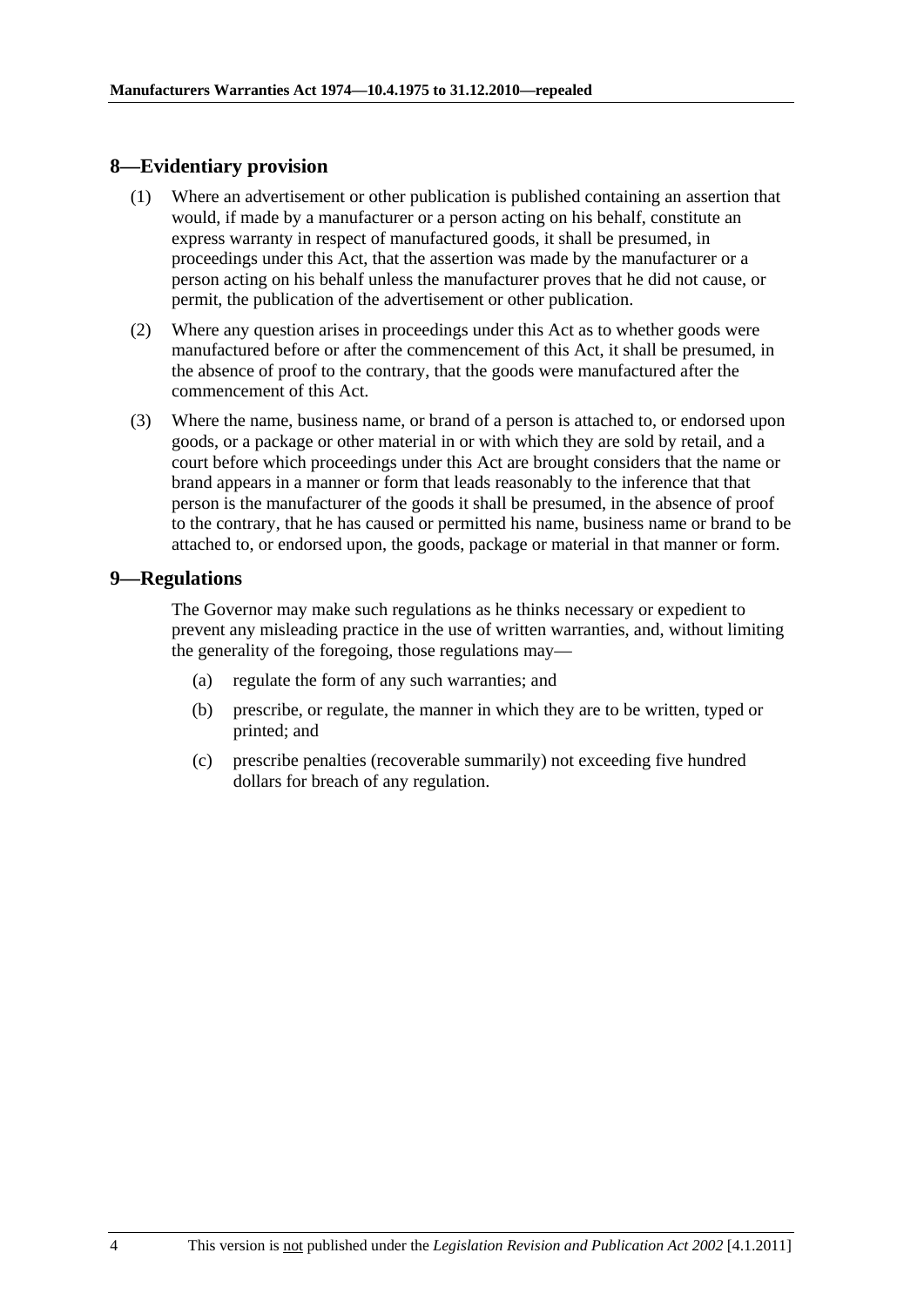#### <span id="page-3-0"></span>**8—Evidentiary provision**

- (1) Where an advertisement or other publication is published containing an assertion that would, if made by a manufacturer or a person acting on his behalf, constitute an express warranty in respect of manufactured goods, it shall be presumed, in proceedings under this Act, that the assertion was made by the manufacturer or a person acting on his behalf unless the manufacturer proves that he did not cause, or permit, the publication of the advertisement or other publication.
- (2) Where any question arises in proceedings under this Act as to whether goods were manufactured before or after the commencement of this Act, it shall be presumed, in the absence of proof to the contrary, that the goods were manufactured after the commencement of this Act.
- (3) Where the name, business name, or brand of a person is attached to, or endorsed upon goods, or a package or other material in or with which they are sold by retail, and a court before which proceedings under this Act are brought considers that the name or brand appears in a manner or form that leads reasonably to the inference that that person is the manufacturer of the goods it shall be presumed, in the absence of proof to the contrary, that he has caused or permitted his name, business name or brand to be attached to, or endorsed upon, the goods, package or material in that manner or form.

#### **9—Regulations**

The Governor may make such regulations as he thinks necessary or expedient to prevent any misleading practice in the use of written warranties, and, without limiting the generality of the foregoing, those regulations may—

- (a) regulate the form of any such warranties; and
- (b) prescribe, or regulate, the manner in which they are to be written, typed or printed; and
- (c) prescribe penalties (recoverable summarily) not exceeding five hundred dollars for breach of any regulation.